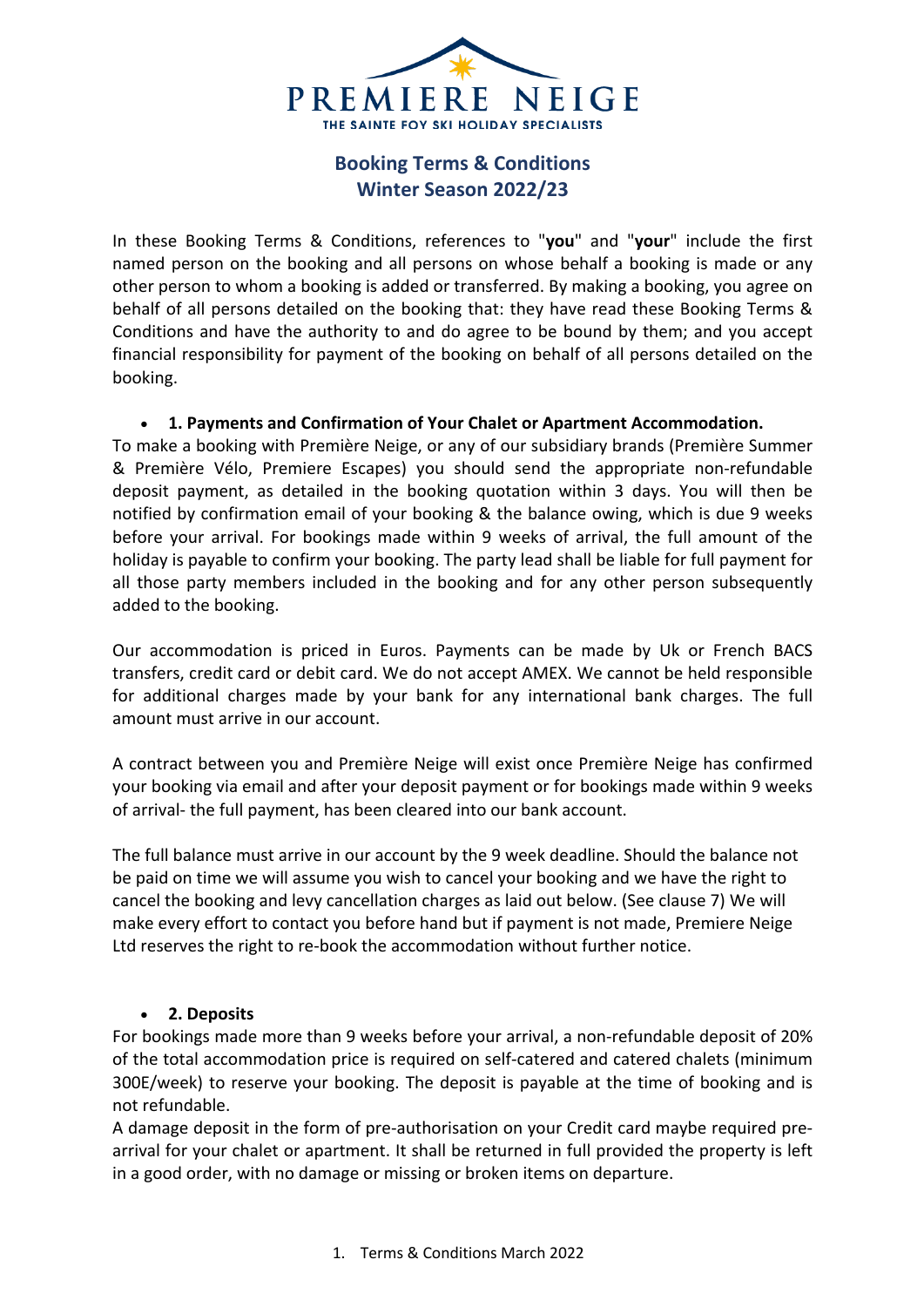

# **Booking Terms & Conditions Winter Season 2022/23**

In these Booking Terms & Conditions, references to "**you**" and "**your**" include the first named person on the booking and all persons on whose behalf a booking is made or any other person to whom a booking is added or transferred. By making a booking, you agree on behalf of all persons detailed on the booking that: they have read these Booking Terms & Conditions and have the authority to and do agree to be bound by them; and you accept financial responsibility for payment of the booking on behalf of all persons detailed on the booking.

# • **1. Payments and Confirmation of Your Chalet or Apartment Accommodation.**

To make a booking with Première Neige, or any of our subsidiary brands (Première Summer & Première Vélo, Premiere Escapes) you should send the appropriate non-refundable deposit payment, as detailed in the booking quotation within 3 days. You will then be notified by confirmation email of your booking & the balance owing, which is due 9 weeks before your arrival. For bookings made within 9 weeks of arrival, the full amount of the holiday is payable to confirm your booking. The party lead shall be liable for full payment for all those party members included in the booking and for any other person subsequently added to the booking.

Our accommodation is priced in Euros. Payments can be made by Uk or French BACS transfers, credit card or debit card. We do not accept AMEX. We cannot be held responsible for additional charges made by your bank for any international bank charges. The full amount must arrive in our account.

A contract between you and Première Neige will exist once Première Neige has confirmed your booking via email and after your deposit payment or for bookings made within 9 weeks of arrival- the full payment, has been cleared into our bank account.

The full balance must arrive in our account by the 9 week deadline. Should the balance not be paid on time we will assume you wish to cancel your booking and we have the right to cancel the booking and levy cancellation charges as laid out below. (See clause 7) We will make every effort to contact you before hand but if payment is not made, Premiere Neige Ltd reserves the right to re-book the accommodation without further notice.

# • **2. Deposits**

For bookings made more than 9 weeks before your arrival, a non-refundable deposit of 20% of the total accommodation price is required on self-catered and catered chalets (minimum 300E/week) to reserve your booking. The deposit is payable at the time of booking and is not refundable.

A damage deposit in the form of pre-authorisation on your Credit card maybe required prearrival for your chalet or apartment. It shall be returned in full provided the property is left in a good order, with no damage or missing or broken items on departure.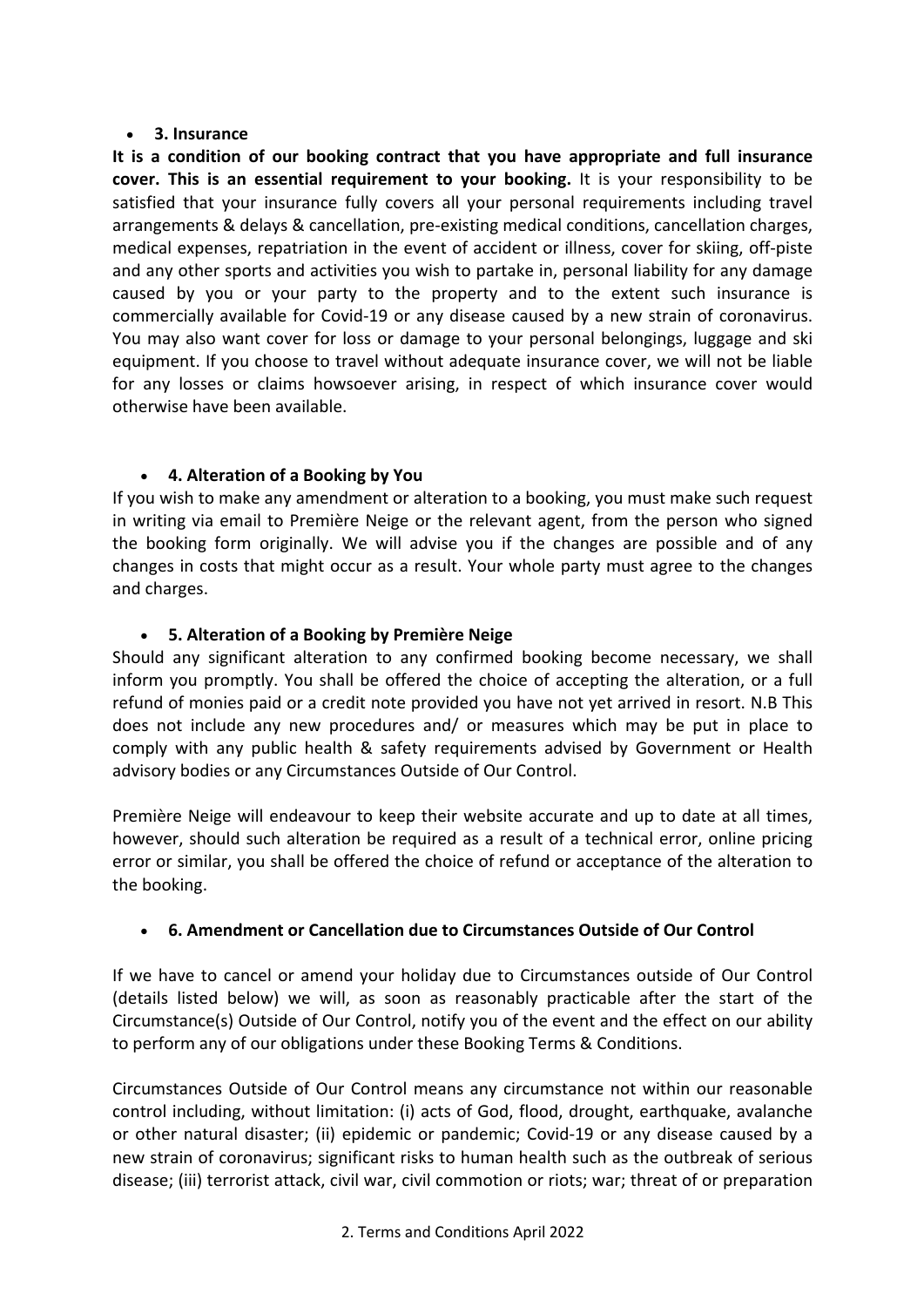#### • **3. Insurance**

**It is a condition of our booking contract that you have appropriate and full insurance cover. This is an essential requirement to your booking.** It is your responsibility to be satisfied that your insurance fully covers all your personal requirements including travel arrangements & delays & cancellation, pre-existing medical conditions, cancellation charges, medical expenses, repatriation in the event of accident or illness, cover for skiing, off-piste and any other sports and activities you wish to partake in, personal liability for any damage caused by you or your party to the property and to the extent such insurance is commercially available for Covid-19 or any disease caused by a new strain of coronavirus. You may also want cover for loss or damage to your personal belongings, luggage and ski equipment. If you choose to travel without adequate insurance cover, we will not be liable for any losses or claims howsoever arising, in respect of which insurance cover would otherwise have been available.

# • **4. Alteration of a Booking by You**

If you wish to make any amendment or alteration to a booking, you must make such request in writing via email to Première Neige or the relevant agent, from the person who signed the booking form originally. We will advise you if the changes are possible and of any changes in costs that might occur as a result. Your whole party must agree to the changes and charges.

# • **5. Alteration of a Booking by Première Neige**

Should any significant alteration to any confirmed booking become necessary, we shall inform you promptly. You shall be offered the choice of accepting the alteration, or a full refund of monies paid or a credit note provided you have not yet arrived in resort. N.B This does not include any new procedures and/ or measures which may be put in place to comply with any public health & safety requirements advised by Government or Health advisory bodies or any Circumstances Outside of Our Control.

Première Neige will endeavour to keep their website accurate and up to date at all times, however, should such alteration be required as a result of a technical error, online pricing error or similar, you shall be offered the choice of refund or acceptance of the alteration to the booking.

# • **6. Amendment or Cancellation due to Circumstances Outside of Our Control**

If we have to cancel or amend your holiday due to Circumstances outside of Our Control (details listed below) we will, as soon as reasonably practicable after the start of the Circumstance(s) Outside of Our Control, notify you of the event and the effect on our ability to perform any of our obligations under these Booking Terms & Conditions.

Circumstances Outside of Our Control means any circumstance not within our reasonable control including, without limitation: (i) acts of God, flood, drought, earthquake, avalanche or other natural disaster; (ii) epidemic or pandemic; Covid-19 or any disease caused by a new strain of coronavirus; significant risks to human health such as the outbreak of serious disease; (iii) terrorist attack, civil war, civil commotion or riots; war; threat of or preparation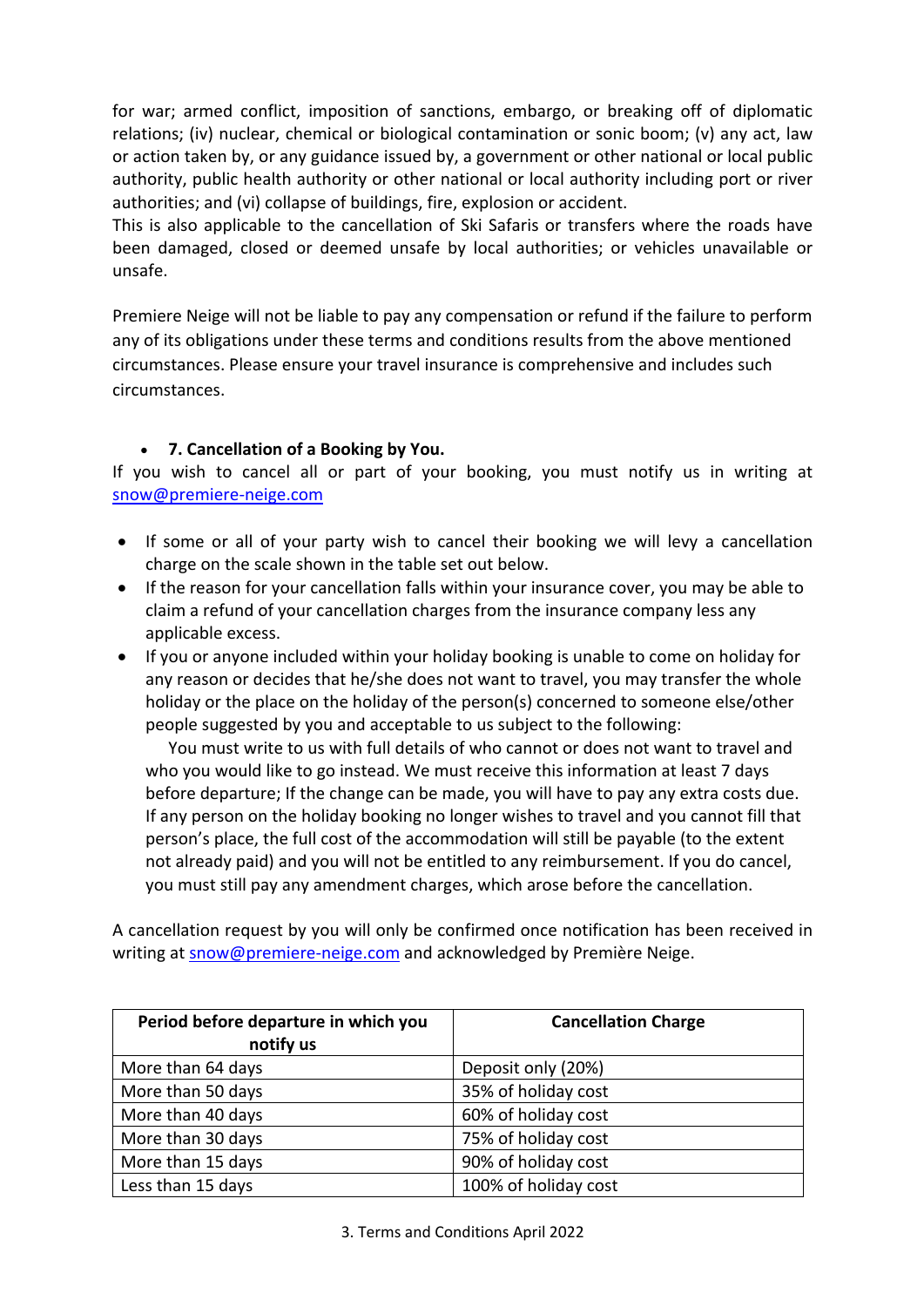for war; armed conflict, imposition of sanctions, embargo, or breaking off of diplomatic relations; (iv) nuclear, chemical or biological contamination or sonic boom; (v) any act, law or action taken by, or any guidance issued by, a government or other national or local public authority, public health authority or other national or local authority including port or river authorities; and (vi) collapse of buildings, fire, explosion or accident.

This is also applicable to the cancellation of Ski Safaris or transfers where the roads have been damaged, closed or deemed unsafe by local authorities; or vehicles unavailable or unsafe.

Premiere Neige will not be liable to pay any compensation or refund if the failure to perform any of its obligations under these terms and conditions results from the above mentioned circumstances. Please ensure your travel insurance is comprehensive and includes such circumstances.

# • **7. Cancellation of a Booking by You.**

If you wish to cancel all or part of your booking, you must notify us in writing at snow@premiere-neige.com

- If some or all of your party wish to cancel their booking we will levy a cancellation charge on the scale shown in the table set out below.
- If the reason for your cancellation falls within your insurance cover, you may be able to claim a refund of your cancellation charges from the insurance company less any applicable excess.
- If you or anyone included within your holiday booking is unable to come on holiday for any reason or decides that he/she does not want to travel, you may transfer the whole holiday or the place on the holiday of the person(s) concerned to someone else/other people suggested by you and acceptable to us subject to the following:

You must write to us with full details of who cannot or does not want to travel and who you would like to go instead. We must receive this information at least 7 days before departure; If the change can be made, you will have to pay any extra costs due. If any person on the holiday booking no longer wishes to travel and you cannot fill that person's place, the full cost of the accommodation will still be payable (to the extent not already paid) and you will not be entitled to any reimbursement. If you do cancel, you must still pay any amendment charges, which arose before the cancellation.

A cancellation request by you will only be confirmed once notification has been received in writing at snow@premiere-neige.com and acknowledged by Première Neige.

| Period before departure in which you<br>notify us | <b>Cancellation Charge</b> |
|---------------------------------------------------|----------------------------|
| More than 64 days                                 | Deposit only (20%)         |
| More than 50 days                                 | 35% of holiday cost        |
| More than 40 days                                 | 60% of holiday cost        |
| More than 30 days                                 | 75% of holiday cost        |
| More than 15 days                                 | 90% of holiday cost        |
| Less than 15 days                                 | 100% of holiday cost       |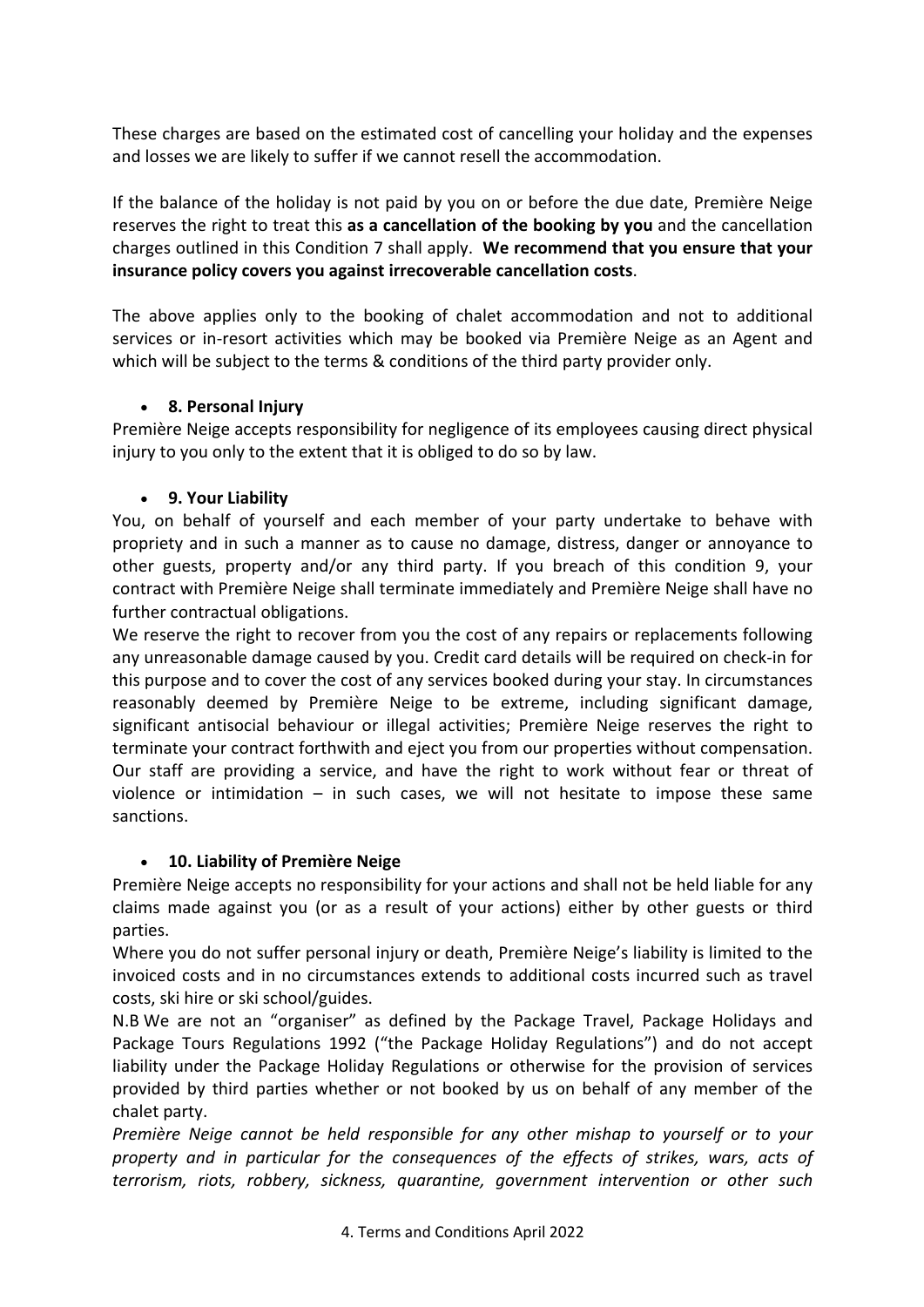These charges are based on the estimated cost of cancelling your holiday and the expenses and losses we are likely to suffer if we cannot resell the accommodation.

If the balance of the holiday is not paid by you on or before the due date, Première Neige reserves the right to treat this **as a cancellation of the booking by you** and the cancellation charges outlined in this Condition 7 shall apply. **We recommend that you ensure that your insurance policy covers you against irrecoverable cancellation costs**.

The above applies only to the booking of chalet accommodation and not to additional services or in-resort activities which may be booked via Première Neige as an Agent and which will be subject to the terms & conditions of the third party provider only.

#### • **8. Personal Injury**

Première Neige accepts responsibility for negligence of its employees causing direct physical injury to you only to the extent that it is obliged to do so by law.

#### • **9. Your Liability**

You, on behalf of yourself and each member of your party undertake to behave with propriety and in such a manner as to cause no damage, distress, danger or annoyance to other guests, property and/or any third party. If you breach of this condition 9, your contract with Première Neige shall terminate immediately and Première Neige shall have no further contractual obligations.

We reserve the right to recover from you the cost of any repairs or replacements following any unreasonable damage caused by you. Credit card details will be required on check-in for this purpose and to cover the cost of any services booked during your stay. In circumstances reasonably deemed by Première Neige to be extreme, including significant damage, significant antisocial behaviour or illegal activities; Première Neige reserves the right to terminate your contract forthwith and eject you from our properties without compensation. Our staff are providing a service, and have the right to work without fear or threat of violence or intimidation  $-$  in such cases, we will not hesitate to impose these same sanctions.

# • **10. Liability of Première Neige**

Première Neige accepts no responsibility for your actions and shall not be held liable for any claims made against you (or as a result of your actions) either by other guests or third parties.

Where you do not suffer personal injury or death, Première Neige's liability is limited to the invoiced costs and in no circumstances extends to additional costs incurred such as travel costs, ski hire or ski school/guides.

N.B We are not an "organiser" as defined by the Package Travel, Package Holidays and Package Tours Regulations 1992 ("the Package Holiday Regulations") and do not accept liability under the Package Holiday Regulations or otherwise for the provision of services provided by third parties whether or not booked by us on behalf of any member of the chalet party.

*Première Neige cannot be held responsible for any other mishap to yourself or to your property and in particular for the consequences of the effects of strikes, wars, acts of terrorism, riots, robbery, sickness, quarantine, government intervention or other such*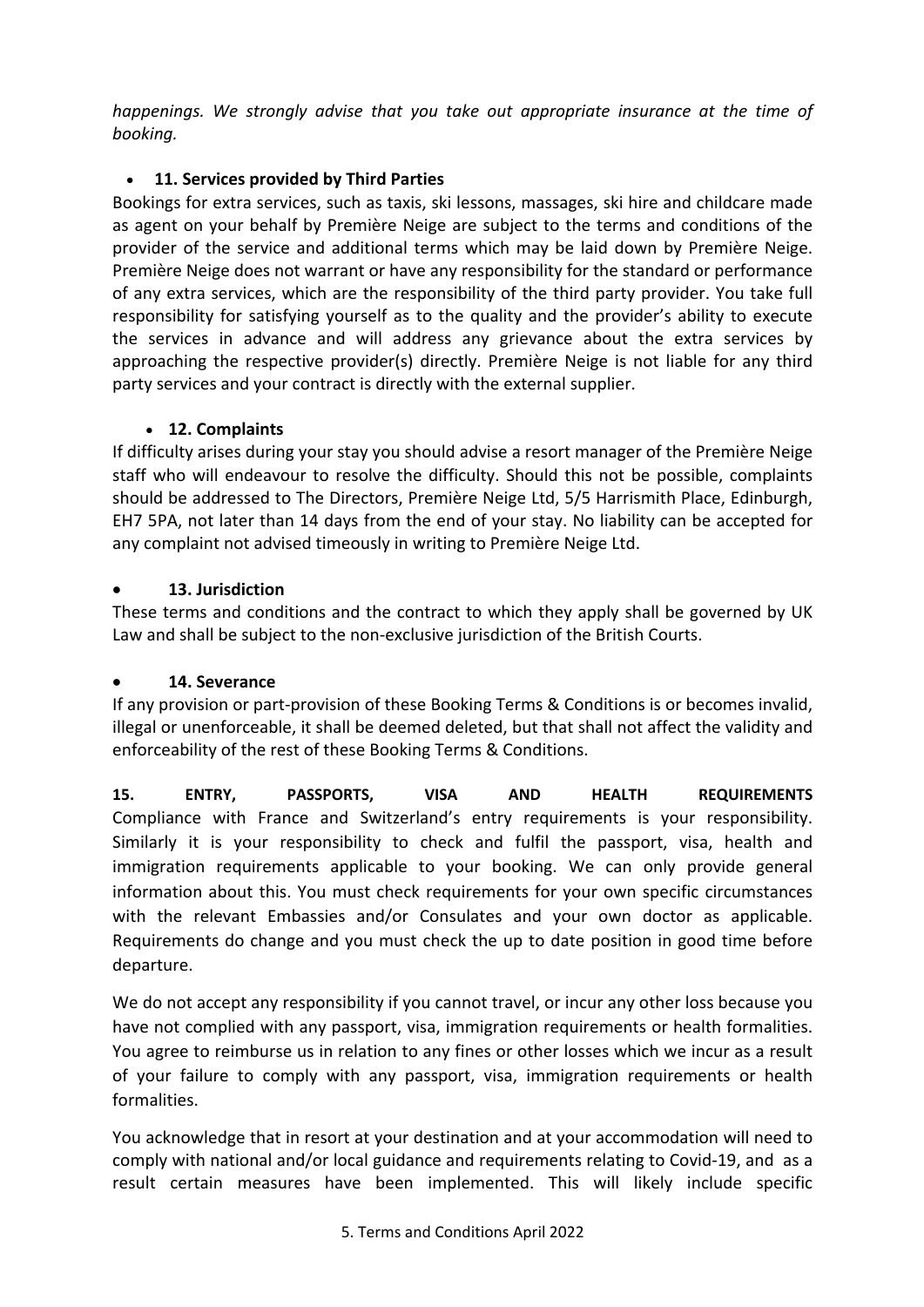*happenings. We strongly advise that you take out appropriate insurance at the time of booking.*

# • **11. Services provided by Third Parties**

Bookings for extra services, such as taxis, ski lessons, massages, ski hire and childcare made as agent on your behalf by Première Neige are subject to the terms and conditions of the provider of the service and additional terms which may be laid down by Première Neige. Première Neige does not warrant or have any responsibility for the standard or performance of any extra services, which are the responsibility of the third party provider. You take full responsibility for satisfying yourself as to the quality and the provider's ability to execute the services in advance and will address any grievance about the extra services by approaching the respective provider(s) directly. Première Neige is not liable for any third party services and your contract is directly with the external supplier.

# • **12. Complaints**

If difficulty arises during your stay you should advise a resort manager of the Première Neige staff who will endeavour to resolve the difficulty. Should this not be possible, complaints should be addressed to The Directors, Première Neige Ltd, 5/5 Harrismith Place, Edinburgh, EH7 5PA, not later than 14 days from the end of your stay. No liability can be accepted for any complaint not advised timeously in writing to Première Neige Ltd.

# • **13. Jurisdiction**

These terms and conditions and the contract to which they apply shall be governed by UK Law and shall be subject to the non-exclusive jurisdiction of the British Courts.

# • **14. Severance**

If any provision or part-provision of these Booking Terms & Conditions is or becomes invalid, illegal or unenforceable, it shall be deemed deleted, but that shall not affect the validity and enforceability of the rest of these Booking Terms & Conditions.

**15. ENTRY, PASSPORTS, VISA AND HEALTH REQUIREMENTS** Compliance with France and Switzerland's entry requirements is your responsibility. Similarly it is your responsibility to check and fulfil the passport, visa, health and immigration requirements applicable to your booking. We can only provide general information about this. You must check requirements for your own specific circumstances with the relevant Embassies and/or Consulates and your own doctor as applicable. Requirements do change and you must check the up to date position in good time before departure.

We do not accept any responsibility if you cannot travel, or incur any other loss because you have not complied with any passport, visa, immigration requirements or health formalities. You agree to reimburse us in relation to any fines or other losses which we incur as a result of your failure to comply with any passport, visa, immigration requirements or health formalities.

You acknowledge that in resort at your destination and at your accommodation will need to comply with national and/or local guidance and requirements relating to Covid-19, and as a result certain measures have been implemented. This will likely include specific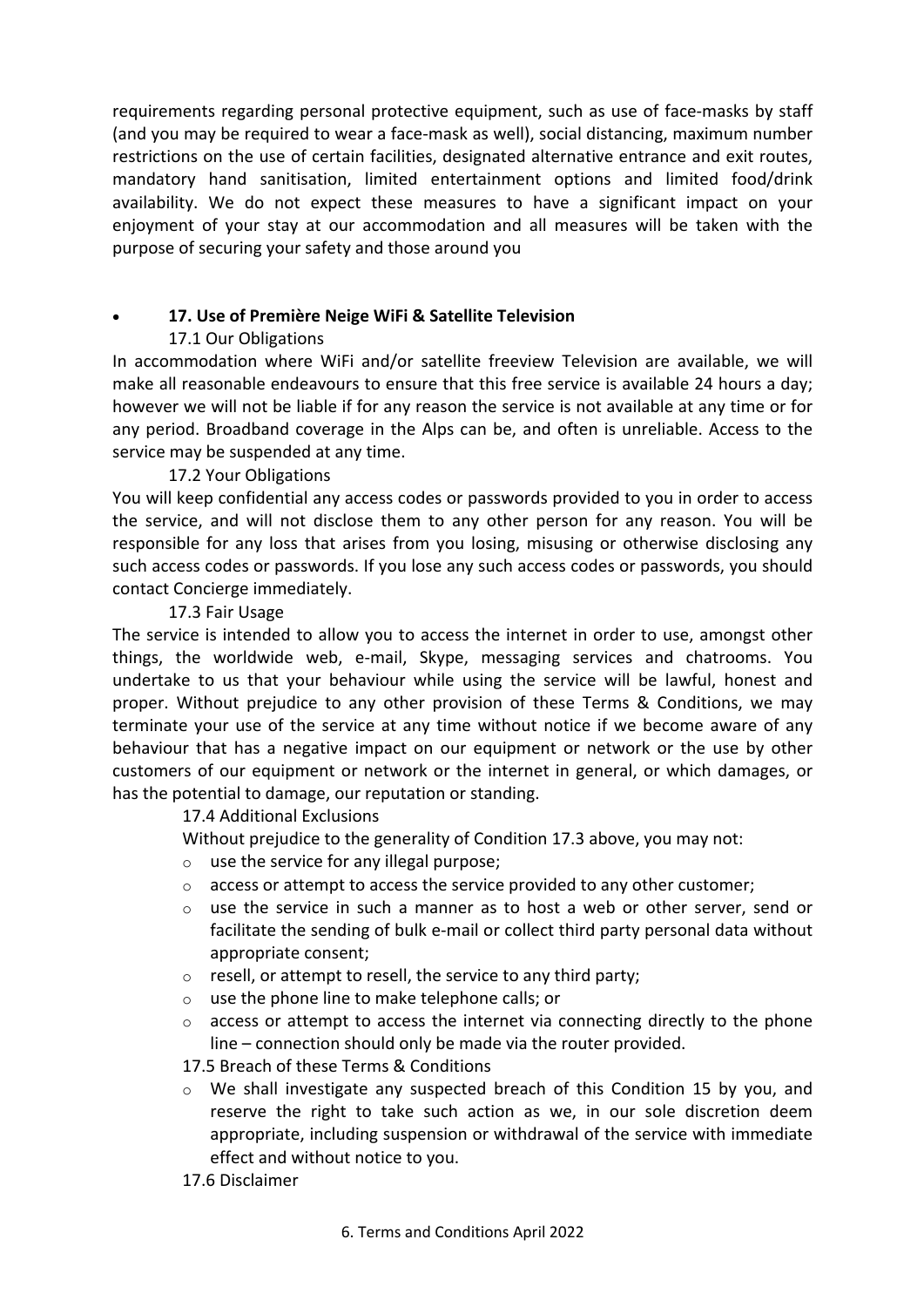requirements regarding personal protective equipment, such as use of face-masks by staff (and you may be required to wear a face-mask as well), social distancing, maximum number restrictions on the use of certain facilities, designated alternative entrance and exit routes, mandatory hand sanitisation, limited entertainment options and limited food/drink availability. We do not expect these measures to have a significant impact on your enjoyment of your stay at our accommodation and all measures will be taken with the purpose of securing your safety and those around you

# • **17. Use of Première Neige WiFi & Satellite Television**

# 17.1 Our Obligations

In accommodation where WiFi and/or satellite freeview Television are available, we will make all reasonable endeavours to ensure that this free service is available 24 hours a day; however we will not be liable if for any reason the service is not available at any time or for any period. Broadband coverage in the Alps can be, and often is unreliable. Access to the service may be suspended at any time.

# 17.2 Your Obligations

You will keep confidential any access codes or passwords provided to you in order to access the service, and will not disclose them to any other person for any reason. You will be responsible for any loss that arises from you losing, misusing or otherwise disclosing any such access codes or passwords. If you lose any such access codes or passwords, you should contact Concierge immediately.

# 17.3 Fair Usage

The service is intended to allow you to access the internet in order to use, amongst other things, the worldwide web, e-mail, Skype, messaging services and chatrooms. You undertake to us that your behaviour while using the service will be lawful, honest and proper. Without prejudice to any other provision of these Terms & Conditions, we may terminate your use of the service at any time without notice if we become aware of any behaviour that has a negative impact on our equipment or network or the use by other customers of our equipment or network or the internet in general, or which damages, or has the potential to damage, our reputation or standing.

# 17.4 Additional Exclusions

Without prejudice to the generality of Condition 17.3 above, you may not:

- o use the service for any illegal purpose;
- o access or attempt to access the service provided to any other customer;
- o use the service in such a manner as to host a web or other server, send or facilitate the sending of bulk e-mail or collect third party personal data without appropriate consent;
- o resell, or attempt to resell, the service to any third party;
- o use the phone line to make telephone calls; or
- o access or attempt to access the internet via connecting directly to the phone line – connection should only be made via the router provided.
- 17.5 Breach of these Terms & Conditions
- $\circ$  We shall investigate any suspected breach of this Condition 15 by you, and reserve the right to take such action as we, in our sole discretion deem appropriate, including suspension or withdrawal of the service with immediate effect and without notice to you.
- 17.6 Disclaimer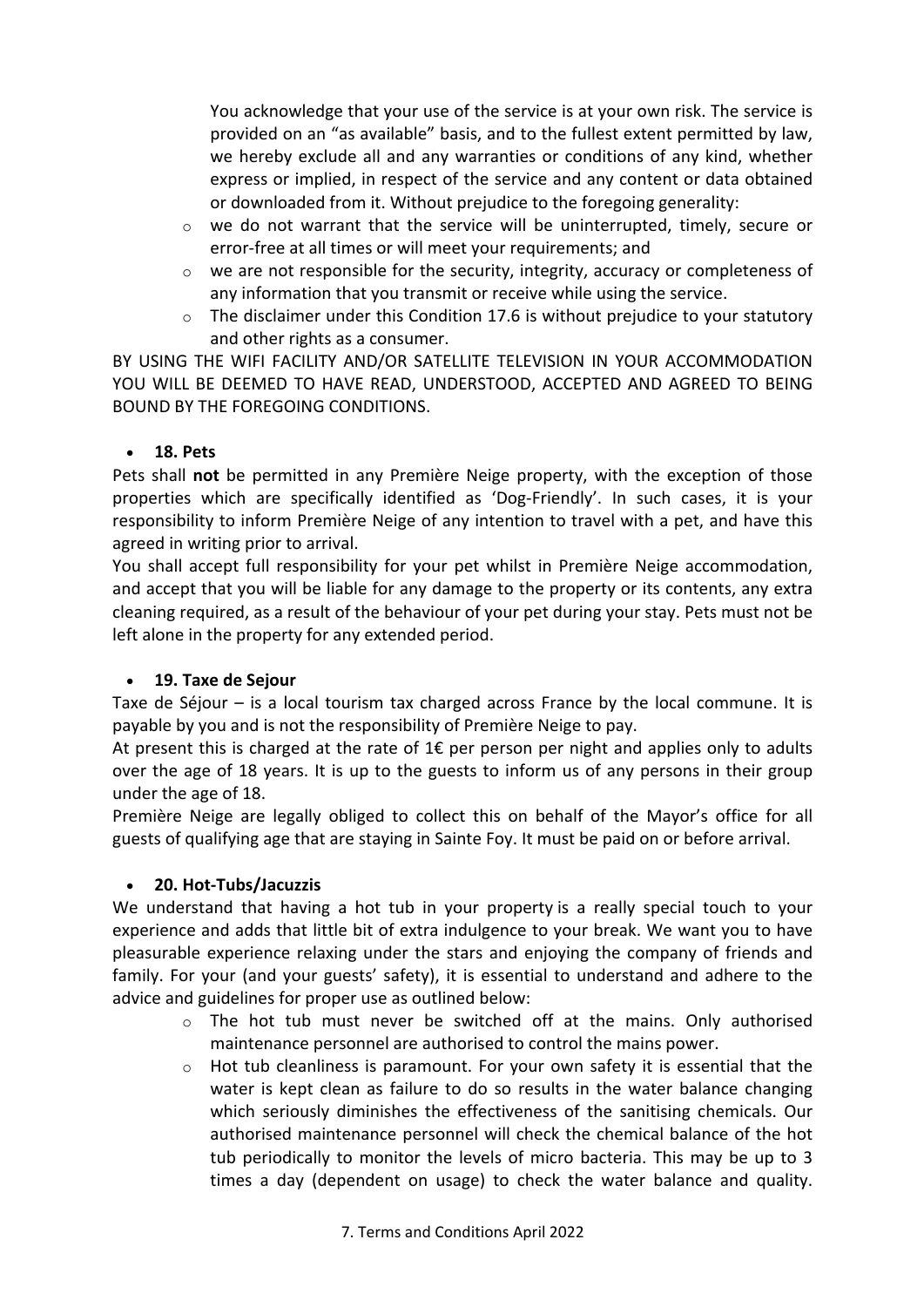You acknowledge that your use of the service is at your own risk. The service is provided on an "as available" basis, and to the fullest extent permitted by law, we hereby exclude all and any warranties or conditions of any kind, whether express or implied, in respect of the service and any content or data obtained or downloaded from it. Without prejudice to the foregoing generality:

- $\circ$  we do not warrant that the service will be uninterrupted, timely, secure or error-free at all times or will meet your requirements; and
- o we are not responsible for the security, integrity, accuracy or completeness of any information that you transmit or receive while using the service.
- $\circ$  The disclaimer under this Condition 17.6 is without prejudice to your statutory and other rights as a consumer.

BY USING THE WIFI FACILITY AND/OR SATELLITE TELEVISION IN YOUR ACCOMMODATION YOU WILL BE DEEMED TO HAVE READ, UNDERSTOOD, ACCEPTED AND AGREED TO BEING BOUND BY THE FOREGOING CONDITIONS.

# • **18. Pets**

Pets shall **not** be permitted in any Première Neige property, with the exception of those properties which are specifically identified as 'Dog-Friendly'. In such cases, it is your responsibility to inform Première Neige of any intention to travel with a pet, and have this agreed in writing prior to arrival.

You shall accept full responsibility for your pet whilst in Première Neige accommodation, and accept that you will be liable for any damage to the property or its contents, any extra cleaning required, as a result of the behaviour of your pet during your stay. Pets must not be left alone in the property for any extended period.

# • **19. Taxe de Sejour**

Taxe de Séjour – is a local tourism tax charged across France by the local commune. It is payable by you and is not the responsibility of Première Neige to pay.

At present this is charged at the rate of  $1 \epsilon$  per person per night and applies only to adults over the age of 18 years. It is up to the guests to inform us of any persons in their group under the age of 18.

Première Neige are legally obliged to collect this on behalf of the Mayor's office for all guests of qualifying age that are staying in Sainte Foy. It must be paid on or before arrival.

# • **20. Hot-Tubs/Jacuzzis**

We understand that having a hot tub in your property is a really special touch to your experience and adds that little bit of extra indulgence to your break. We want you to have pleasurable experience relaxing under the stars and enjoying the company of friends and family. For your (and your guests' safety), it is essential to understand and adhere to the advice and guidelines for proper use as outlined below:

- o The hot tub must never be switched off at the mains. Only authorised maintenance personnel are authorised to control the mains power.
- $\circ$  Hot tub cleanliness is paramount. For your own safety it is essential that the water is kept clean as failure to do so results in the water balance changing which seriously diminishes the effectiveness of the sanitising chemicals. Our authorised maintenance personnel will check the chemical balance of the hot tub periodically to monitor the levels of micro bacteria. This may be up to 3 times a day (dependent on usage) to check the water balance and quality.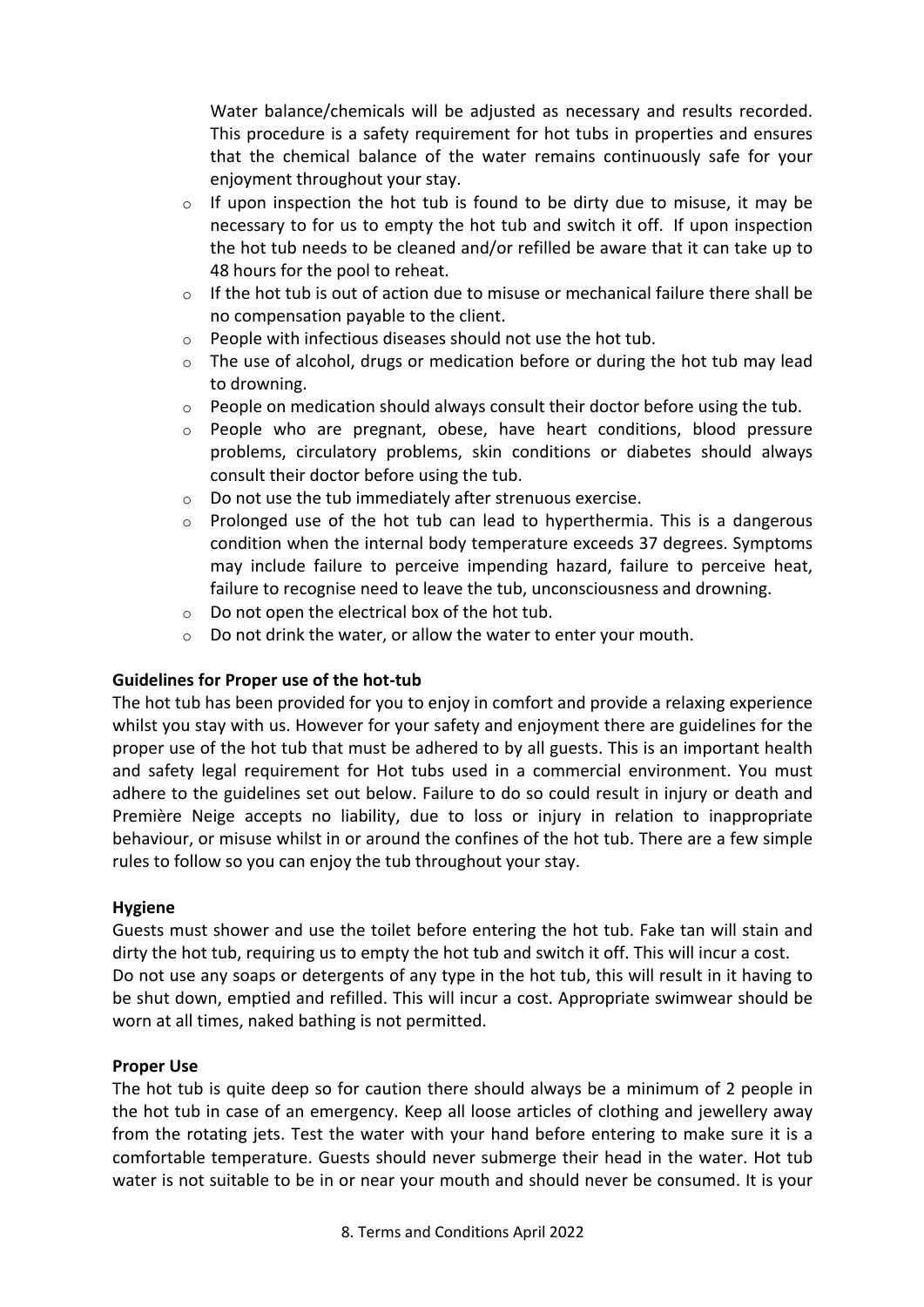Water balance/chemicals will be adjusted as necessary and results recorded. This procedure is a safety requirement for hot tubs in properties and ensures that the chemical balance of the water remains continuously safe for your enjoyment throughout your stay.

- o If upon inspection the hot tub is found to be dirty due to misuse, it may be necessary to for us to empty the hot tub and switch it off. If upon inspection the hot tub needs to be cleaned and/or refilled be aware that it can take up to 48 hours for the pool to reheat.
- $\circ$  If the hot tub is out of action due to misuse or mechanical failure there shall be no compensation payable to the client.
- o People with infectious diseases should not use the hot tub.
- $\circ$  The use of alcohol, drugs or medication before or during the hot tub may lead to drowning.
- o People on medication should always consult their doctor before using the tub.
- $\circ$  People who are pregnant, obese, have heart conditions, blood pressure problems, circulatory problems, skin conditions or diabetes should always consult their doctor before using the tub.
- o Do not use the tub immediately after strenuous exercise.
- $\circ$  Prolonged use of the hot tub can lead to hyperthermia. This is a dangerous condition when the internal body temperature exceeds 37 degrees. Symptoms may include failure to perceive impending hazard, failure to perceive heat, failure to recognise need to leave the tub, unconsciousness and drowning.
- o Do not open the electrical box of the hot tub.
- o Do not drink the water, or allow the water to enter your mouth.

#### **Guidelines for Proper use of the hot-tub**

The hot tub has been provided for you to enjoy in comfort and provide a relaxing experience whilst you stay with us. However for your safety and enjoyment there are guidelines for the proper use of the hot tub that must be adhered to by all guests. This is an important health and safety legal requirement for Hot tubs used in a commercial environment. You must adhere to the guidelines set out below. Failure to do so could result in injury or death and Première Neige accepts no liability, due to loss or injury in relation to inappropriate behaviour, or misuse whilst in or around the confines of the hot tub. There are a few simple rules to follow so you can enjoy the tub throughout your stay.

#### **Hygiene**

Guests must shower and use the toilet before entering the hot tub. Fake tan will stain and dirty the hot tub, requiring us to empty the hot tub and switch it off. This will incur a cost. Do not use any soaps or detergents of any type in the hot tub, this will result in it having to be shut down, emptied and refilled. This will incur a cost. Appropriate swimwear should be worn at all times, naked bathing is not permitted.

#### **Proper Use**

The hot tub is quite deep so for caution there should always be a minimum of 2 people in the hot tub in case of an emergency. Keep all loose articles of clothing and jewellery away from the rotating jets. Test the water with your hand before entering to make sure it is a comfortable temperature. Guests should never submerge their head in the water. Hot tub water is not suitable to be in or near your mouth and should never be consumed. It is your